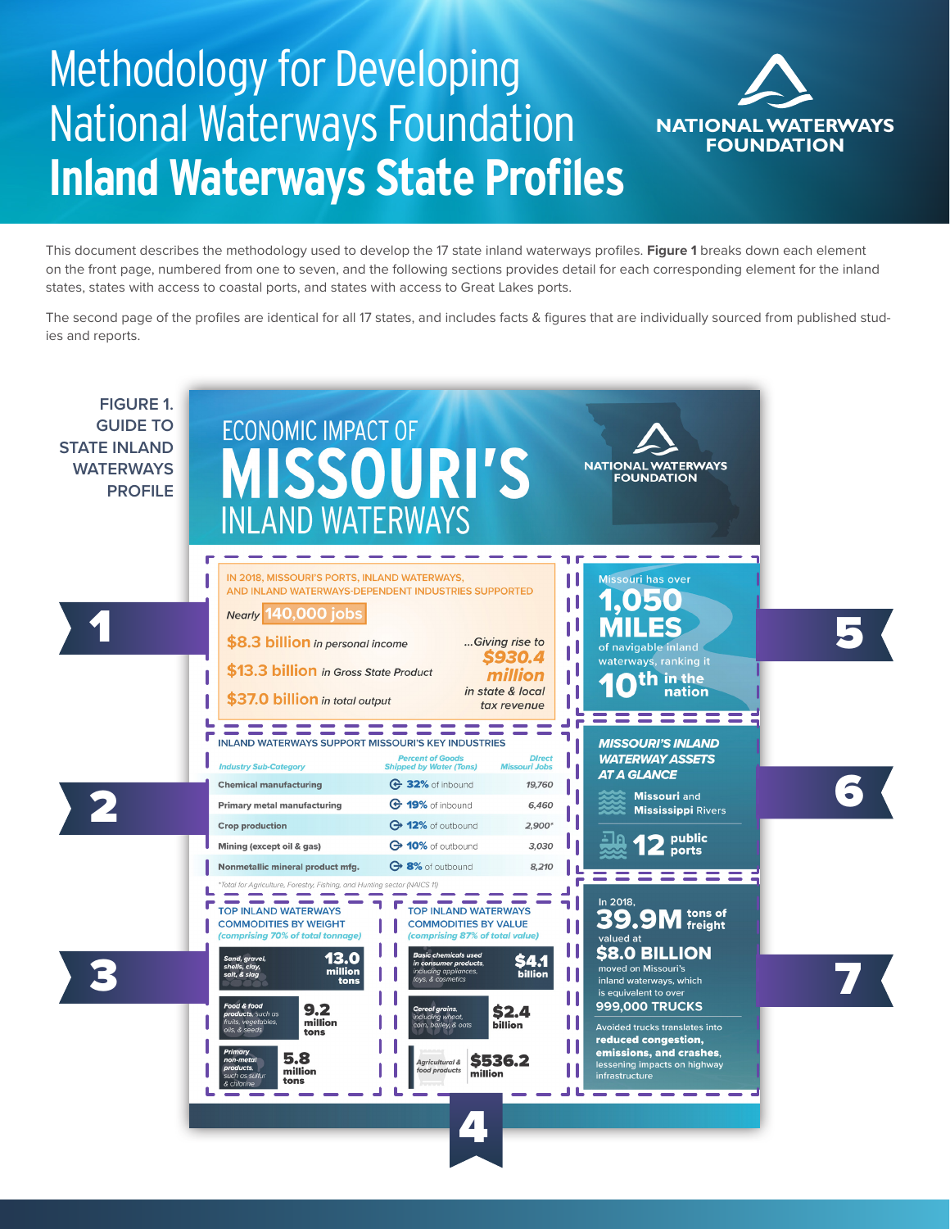## Methodology for Developing National Waterways Foundation **Inland Waterways State Profiles**



This document describes the methodology used to develop the 17 state inland waterways profiles. **Figure 1** breaks down each element on the front page, numbered from one to seven, and the following sections provides detail for each corresponding element for the inland states, states with access to coastal ports, and states with access to Great Lakes ports.

The second page of the profiles are identical for all 17 states, and includes facts & figures that are individually sourced from published studies and reports.

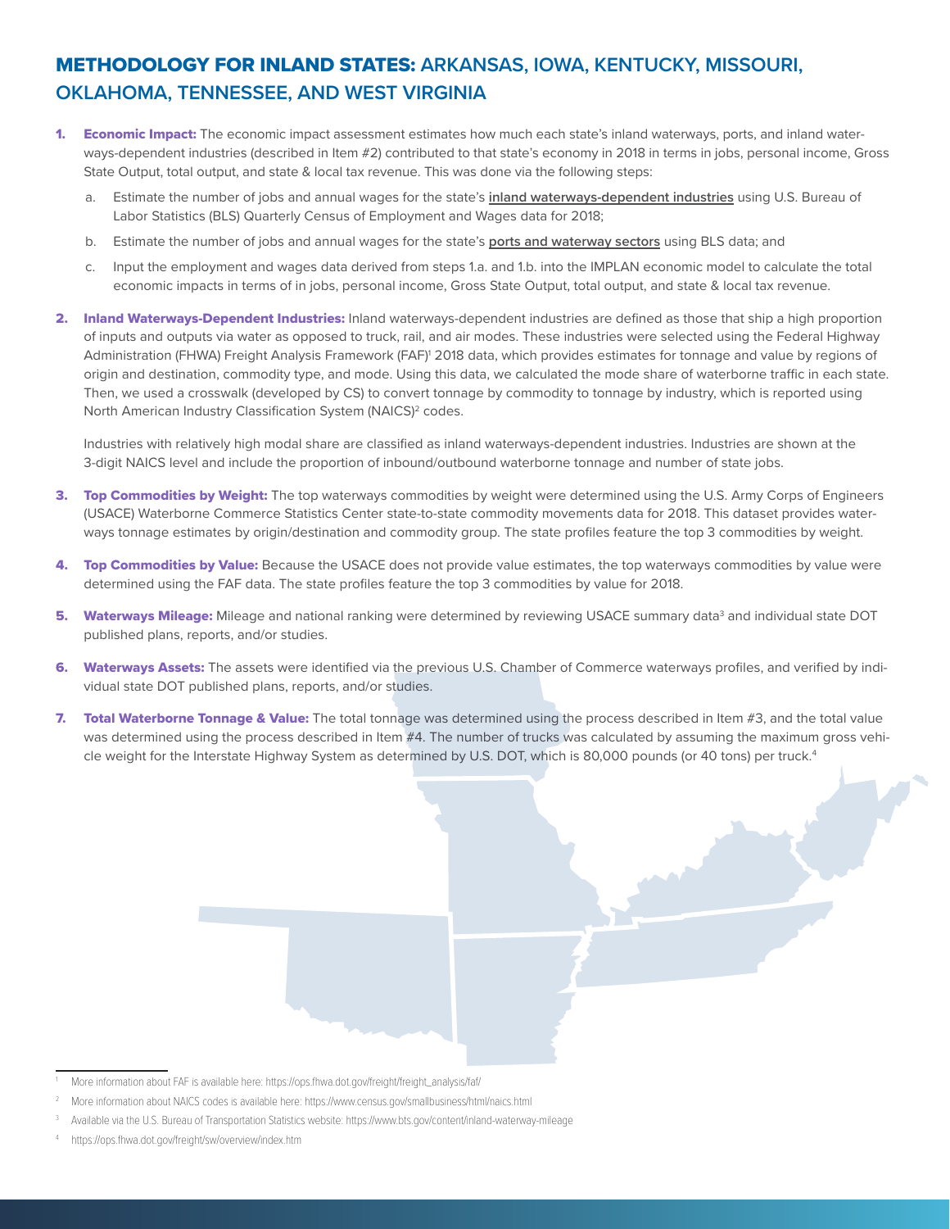## METHODOLOGY FOR INLAND STATES: **ARKANSAS, IOWA, KENTUCKY, MISSOURI, OKLAHOMA, TENNESSEE, AND WEST VIRGINIA**

- 1. Economic Impact: The economic impact assessment estimates how much each state's inland waterways, ports, and inland waterways-dependent industries (described in Item #2) contributed to that state's economy in 2018 in terms in jobs, personal income, Gross State Output, total output, and state & local tax revenue. This was done via the following steps:
	- a. Estimate the number of jobs and annual wages for the state's **inland waterways-dependent industries** using U.S. Bureau of Labor Statistics (BLS) Quarterly Census of Employment and Wages data for 2018;
	- b. Estimate the number of jobs and annual wages for the state's **ports and waterway sectors** using BLS data; and
	- c. Input the employment and wages data derived from steps 1.a. and 1.b. into the IMPLAN economic model to calculate the total economic impacts in terms of in jobs, personal income, Gross State Output, total output, and state & local tax revenue.
- 2. Inland Waterways-Dependent Industries: Inland waterways-dependent industries are defined as those that ship a high proportion of inputs and outputs via water as opposed to truck, rail, and air modes. These industries were selected using the Federal Highway Administration (FHWA) Freight Analysis Framework (FAF)<sup>1</sup> 2018 data, which provides estimates for tonnage and value by regions of origin and destination, commodity type, and mode. Using this data, we calculated the mode share of waterborne traffic in each state. Then, we used a crosswalk (developed by CS) to convert tonnage by commodity to tonnage by industry, which is reported using North American Industry Classification System (NAICS)<sup>2</sup> codes.

Industries with relatively high modal share are classified as inland waterways-dependent industries. Industries are shown at the 3-digit NAICS level and include the proportion of inbound/outbound waterborne tonnage and number of state jobs.

- 3. Top Commodities by Weight: The top waterways commodities by weight were determined using the U.S. Army Corps of Engineers (USACE) Waterborne Commerce Statistics Center state-to-state commodity movements data for 2018. This dataset provides waterways tonnage estimates by origin/destination and commodity group. The state profiles feature the top 3 commodities by weight.
- 4. Top Commodities by Value: Because the USACE does not provide value estimates, the top waterways commodities by value were determined using the FAF data. The state profiles feature the top 3 commodities by value for 2018.
- **5. Waterways Mileage:** Mileage and national ranking were determined by reviewing USACE summary data<sup>3</sup> and individual state DOT published plans, reports, and/or studies.
- 6. Waterways Assets: The assets were identified via the previous U.S. Chamber of Commerce waterways profiles, and verified by individual state DOT published plans, reports, and/or studies.
- 7. Total Waterborne Tonnage & Value: The total tonnage was determined using the process described in Item #3, and the total value was determined using the process described in Item #4. The number of trucks was calculated by assuming the maximum gross vehicle weight for the Interstate Highway System as determined by U.S. DOT, which is 80,000 pounds (or 40 tons) per truck.<sup>4</sup>

More information about FAF is available here: https://ops.fhwa.dot.gov/freight/freight\_analysis/faf/

<sup>2</sup> More information about NAICS codes is available here: https://www.census.gov/smallbusiness/html/naics.html

<sup>3</sup> Available via the U.S. Bureau of Transportation Statistics website: https://www.bts.gov/content/inland-waterway-mileage

https://ops.fhwa.dot.gov/freight/sw/overview/index.htm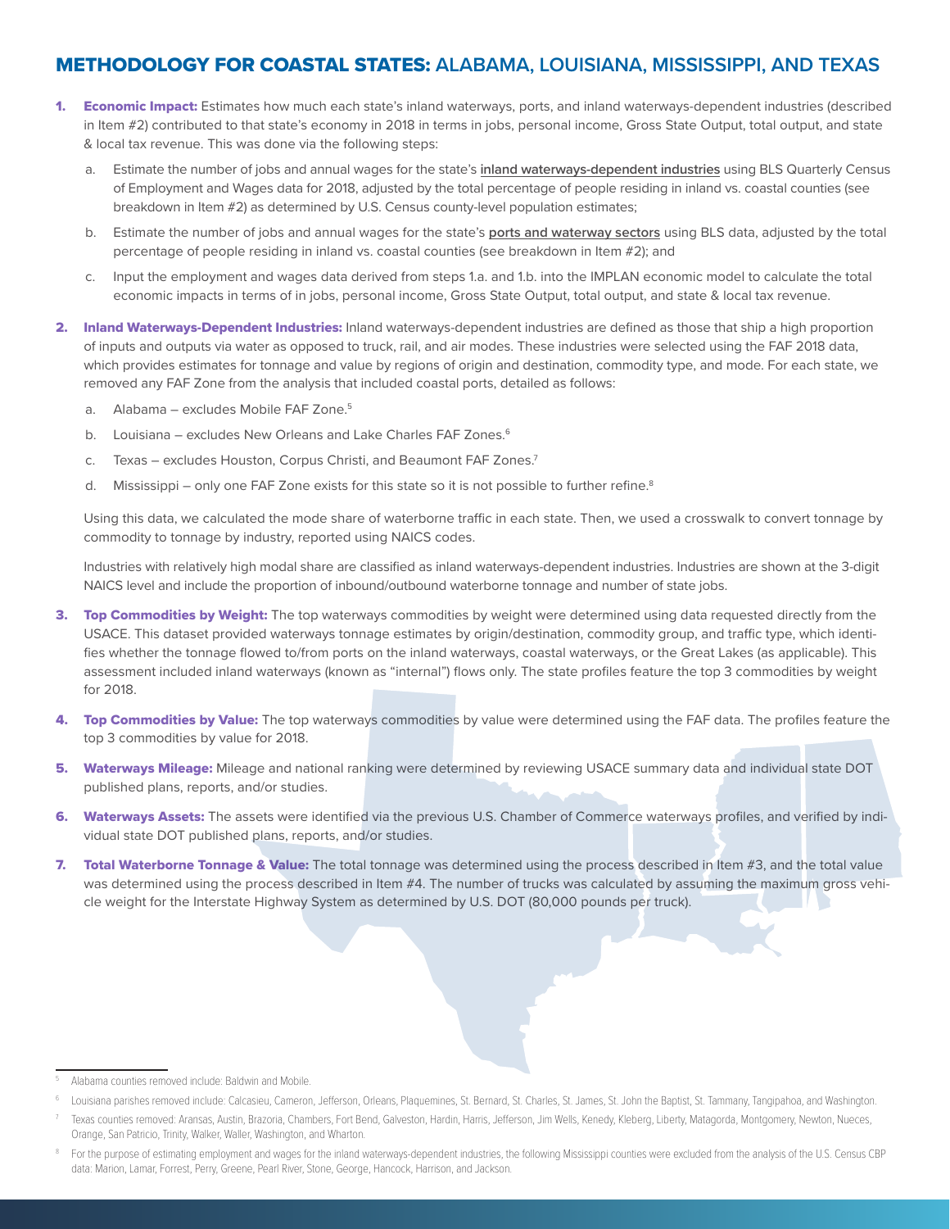## METHODOLOGY FOR COASTAL STATES: **ALABAMA, LOUISIANA, MISSISSIPPI, AND TEXAS**

- 1. Economic Impact: Estimates how much each state's inland waterways, ports, and inland waterways-dependent industries (described in Item #2) contributed to that state's economy in 2018 in terms in jobs, personal income, Gross State Output, total output, and state & local tax revenue. This was done via the following steps:
	- a. Estimate the number of jobs and annual wages for the state's **inland waterways-dependent industries** using BLS Quarterly Census of Employment and Wages data for 2018, adjusted by the total percentage of people residing in inland vs. coastal counties (see breakdown in Item #2) as determined by U.S. Census county-level population estimates;
	- b. Estimate the number of jobs and annual wages for the state's **ports and waterway sectors** using BLS data, adjusted by the total percentage of people residing in inland vs. coastal counties (see breakdown in Item #2); and
	- c. Input the employment and wages data derived from steps 1.a. and 1.b. into the IMPLAN economic model to calculate the total economic impacts in terms of in jobs, personal income, Gross State Output, total output, and state & local tax revenue.
- 2. Inland Waterways-Dependent Industries: Inland waterways-dependent industries are defined as those that ship a high proportion of inputs and outputs via water as opposed to truck, rail, and air modes. These industries were selected using the FAF 2018 data, which provides estimates for tonnage and value by regions of origin and destination, commodity type, and mode. For each state, we removed any FAF Zone from the analysis that included coastal ports, detailed as follows:
	- a. Alabama excludes Mobile FAF Zone.<sup>5</sup>
	- b. Louisiana excludes New Orleans and Lake Charles FAF Zones.<sup>6</sup>
	- c. Texas excludes Houston, Corpus Christi, and Beaumont FAF Zones.<sup>7</sup>
	- d. Mississippi only one FAF Zone exists for this state so it is not possible to further refine.<sup>8</sup>

Using this data, we calculated the mode share of waterborne traffic in each state. Then, we used a crosswalk to convert tonnage by commodity to tonnage by industry, reported using NAICS codes.

Industries with relatively high modal share are classified as inland waterways-dependent industries. Industries are shown at the 3-digit NAICS level and include the proportion of inbound/outbound waterborne tonnage and number of state jobs.

- 3. Top Commodities by Weight: The top waterways commodities by weight were determined using data requested directly from the USACE. This dataset provided waterways tonnage estimates by origin/destination, commodity group, and traffic type, which identifies whether the tonnage flowed to/from ports on the inland waterways, coastal waterways, or the Great Lakes (as applicable). This assessment included inland waterways (known as "internal") flows only. The state profiles feature the top 3 commodities by weight for 2018.
- 4. Top Commodities by Value: The top waterways commodities by value were determined using the FAF data. The profiles feature the top 3 commodities by value for 2018.
- 5. Waterways Mileage: Mileage and national ranking were determined by reviewing USACE summary data and individual state DOT published plans, reports, and/or studies.
- 6. Waterways Assets: The assets were identified via the previous U.S. Chamber of Commerce waterways profiles, and verified by individual state DOT published plans, reports, and/or studies.
- 7. Total Waterborne Tonnage & Value: The total tonnage was determined using the process described in Item #3, and the total value was determined using the process described in Item #4. The number of trucks was calculated by assuming the maximum gross vehicle weight for the Interstate Highway System as determined by U.S. DOT (80,000 pounds per truck).

<sup>5</sup> Alabama counties removed include: Baldwin and Mobile.

<sup>6</sup> Louisiana parishes removed include: Calcasieu, Cameron, Jefferson, Orleans, Plaquemines, St. Bernard, St. Charles, St. James, St. John the Baptist, St. Tammany, Tangipahoa, and Washington.

Texas counties removed: Aransas, Austin, Brazoria, Chambers, Fort Bend, Galveston, Hardin, Harris, Jefferson, Jim Wells, Kenedy, Kleberg, Liberty, Matagorda, Montgomery, Newton, Nueces, Orange, San Patricio, Trinity, Walker, Waller, Washington, and Wharton.

<sup>8</sup> For the purpose of estimating employment and wages for the inland waterways-dependent industries, the following Mississippi counties were excluded from the analysis of the U.S. Census CBP data: Marion, Lamar, Forrest, Perry, Greene, Pearl River, Stone, George, Hancock, Harrison, and Jackson.